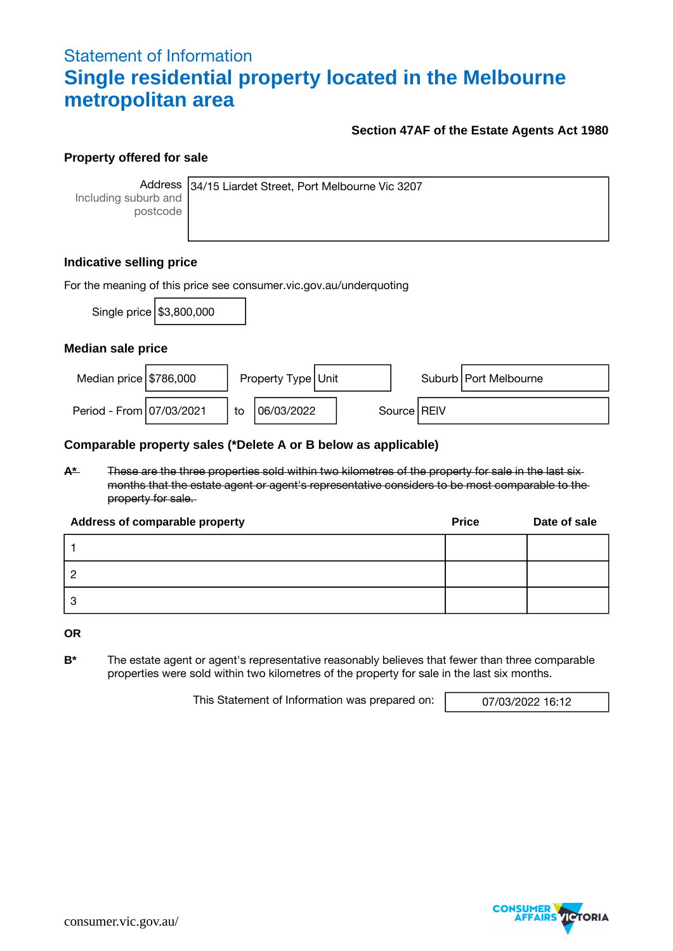## Statement of Information **Single residential property located in the Melbourne metropolitan area**

### **Section 47AF of the Estate Agents Act 1980**

### **Property offered for sale**

Including suburb and postcode

Address 34/15 Liardet Street, Port Melbourne Vic 3207

### **Indicative selling price**

| For the meaning of this price see consumer.vic.gov.au/underquoting |                            |    |                      |  |  |               |                         |  |  |
|--------------------------------------------------------------------|----------------------------|----|----------------------|--|--|---------------|-------------------------|--|--|
|                                                                    | Single price   \$3,800,000 |    |                      |  |  |               |                         |  |  |
| Median sale price                                                  |                            |    |                      |  |  |               |                         |  |  |
| Median price $$786,000$                                            |                            |    | Property Type   Unit |  |  |               | Suburb   Port Melbourne |  |  |
| Period - From 07/03/2021                                           |                            | to | 06/03/2022           |  |  | Source   REIV |                         |  |  |

### **Comparable property sales (\*Delete A or B below as applicable)**

**A\*** These are the three properties sold within two kilometres of the property for sale in the last six months that the estate agent or agent's representative considers to be most comparable to the property for sale.

| Address of comparable property | <b>Price</b> | Date of sale |
|--------------------------------|--------------|--------------|
|                                |              |              |
|                                |              |              |
|                                |              |              |

**OR**

**B\*** The estate agent or agent's representative reasonably believes that fewer than three comparable properties were sold within two kilometres of the property for sale in the last six months.

This Statement of Information was prepared on: 07/03/2022 16:12